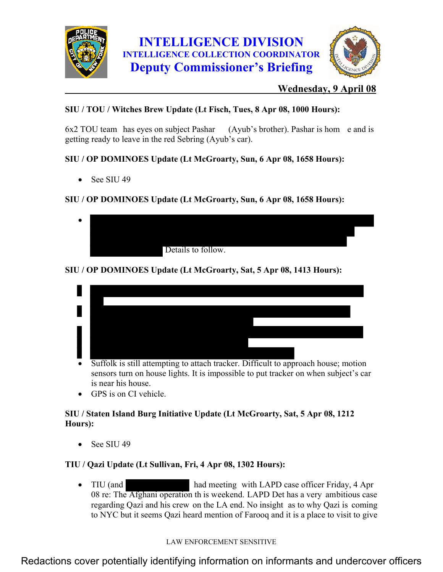



## **Wednesday, 9 April 08**

## **SIU / TOU / Witches Brew Update (Lt Fisch, Tues, 8 Apr 08, 1000 Hours):**

6x2 TOU team has eyes on subject Pashar (Ayub's brother). Pashar is hom e and is getting ready to leave in the red Sebring (Ayub's car).

## **SIU / OP DOMINOES Update (Lt McGroarty, Sun, 6 Apr 08, 1658 Hours):**

 $\bullet$  See SIU 49

## **SIU / OP DOMINOES Update (Lt McGroarty, Sun, 6 Apr 08, 1658 Hours):**

| $\bullet$ |                    |  |
|-----------|--------------------|--|
|           |                    |  |
|           | Details to follow. |  |

## **SIU / OP DOMINOES Update (Lt McGroarty, Sat, 5 Apr 08, 1413 Hours):**



- Suffolk is still attempting to attach tracker. Difficult to approach house; motion sensors turn on house lights. It is impossible to put tracker on when subject's car is near his house.
- GPS is on CI vehicle.

### **SIU / Staten Island Burg Initiative Update (Lt McGroarty, Sat, 5 Apr 08, 1212 Hours):**

• See SIU 49

## **TIU / Qazi Update (Lt Sullivan, Fri, 4 Apr 08, 1302 Hours):**

• TIU (and had meeting with LAPD case officer Friday, 4 Apr 08 re: The Afghani operation th is weekend. LAPD Det has a very ambitious case regarding Qazi and his crew on the LA end. No insight as to why Qazi is coming to NYC but it seems Qazi heard mention of Farooq and it is a place to visit to give

### LAW ENFORCEMENT SENSITIVE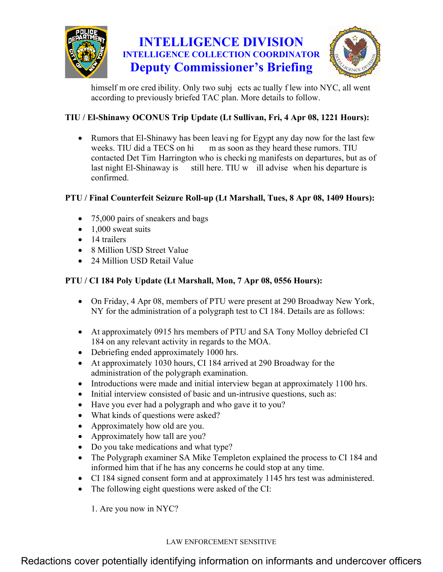

# **INTELLIGENCE DIVISION INTELLIGENCE COLLECTION COORDINATOR Deputy Commissioner's Briefing**



himself m ore cred ibility. Only two subj ects ac tually f lew into NYC, all went according to previously briefed TAC plan. More details to follow.

## **TIU / El-Shinawy OCONUS Trip Update (Lt Sullivan, Fri, 4 Apr 08, 1221 Hours):**

• Rumors that El-Shinawy has been leaving for Egypt any day now for the last few weeks. TIU did a TECS on hi m as soon as they heard these rumors. TIU contacted Det Tim Harrington who is checki ng manifests on departures, but as of last night El-Shinaway is still here. TIU w ill advise when his departure is confirmed.

### **PTU / Final Counterfeit Seizure Roll-up (Lt Marshall, Tues, 8 Apr 08, 1409 Hours):**

- 75,000 pairs of sneakers and bags
- $\bullet$  1,000 sweat suits
- 14 trailers
- 8 Million USD Street Value
- 24 Million USD Retail Value

### **PTU / CI 184 Poly Update (Lt Marshall, Mon, 7 Apr 08, 0556 Hours):**

- On Friday, 4 Apr 08, members of PTU were present at 290 Broadway New York, NY for the administration of a polygraph test to CI 184. Details are as follows:
- At approximately 0915 hrs members of PTU and SA Tony Molloy debriefed CI 184 on any relevant activity in regards to the MOA.
- Debriefing ended approximately 1000 hrs.
- At approximately 1030 hours, CI 184 arrived at 290 Broadway for the administration of the polygraph examination.
- Introductions were made and initial interview began at approximately 1100 hrs.
- Initial interview consisted of basic and un-intrusive questions, such as:
- Have you ever had a polygraph and who gave it to you?
- What kinds of questions were asked?
- Approximately how old are you.
- Approximately how tall are you?
- Do you take medications and what type?
- The Polygraph examiner SA Mike Templeton explained the process to CI 184 and informed him that if he has any concerns he could stop at any time.
- CI 184 signed consent form and at approximately 1145 hrs test was administered.
- The following eight questions were asked of the CI:

1. Are you now in NYC?

#### LAW ENFORCEMENT SENSITIVE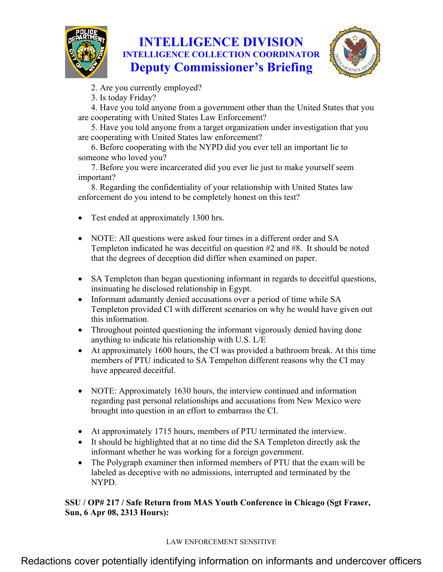

# **INTELLIGENCE DIVISION INTELLIGENCE COLLECTION COORDINATOR Deputy Commissioner's Briefing**



2. Are you currently employed?

3. Is today Friday?

4. Have you told anyone from a government other than the United States that you are cooperating with United States Law Enforcement?

5. Have you told anyone from a target organization under investigation that you are cooperating with United States law enforcement?

6. Before cooperating with the NYPD did you ever tell an important lie to someone who loved you?

7. Before you were incarcerated did you ever lie just to make yourself seem important?

8. Regarding the confidentiality of your relationship with United States law enforcement do you intend to be completely honest on this test?

- Test ended at approximately 1300 hrs.
- NOTE: All questions were asked four times in a different order and SA Templeton indicated he was deceitful on question #2 and #8. It should be noted that the degrees of deception did differ when examined on paper.
- SA Templeton than began questioning informant in regards to deceitful questions, insinuating he disclosed relationship in Egypt.
- Informant adamantly denied accusations over a period of time while SA Templeton provided CI with different scenarios on why he would have given out this information.
- Throughout pointed questioning the informant vigorously denied having done anything to indicate his relationship with U.S. L/E
- At approximately 1600 hours, the CI was provided a bathroom break. At this time members of PTU indicated to SA Tempelton different reasons why the CI may have appeared deceitful.
- NOTE: Approximately 1630 hours, the interview continued and information regarding past personal relationships and accusations from New Mexico were brought into question in an effort to embarrass the CI.
- At approximately 1715 hours, members of PTU terminated the interview.
- It should be highlighted that at no time did the SA Templeton directly ask the informant whether he was working for a foreign government.
- The Polygraph examiner then informed members of PTU that the exam will be labeled as deceptive with no admissions, interrupted and terminated by the NYPD.

**SSU / OP# 217 / Safe Return from MAS Youth Conference in Chicago (Sgt Fraser, Sun, 6 Apr 08, 2313 Hours):** 

### LAW ENFORCEMENT SENSITIVE